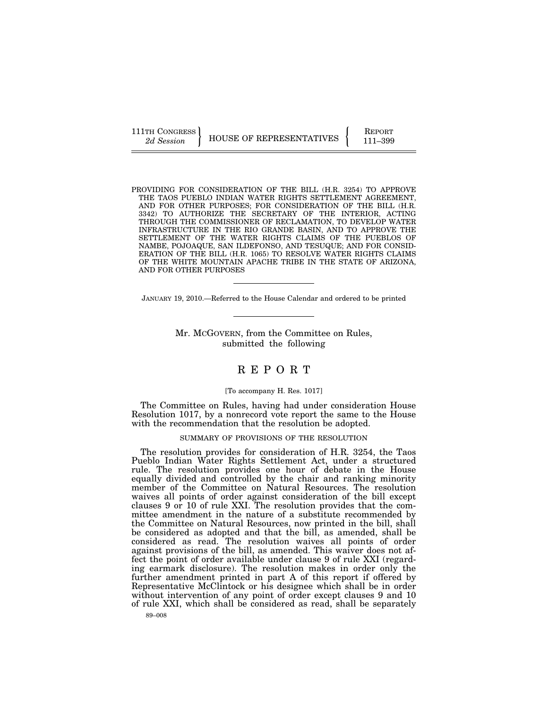111TH CONGRESS HOUSE OF REPRESENTATIVES FEPORT 111-399

PROVIDING FOR CONSIDERATION OF THE BILL (H.R. 3254) TO APPROVE THE TAOS PUEBLO INDIAN WATER RIGHTS SETTLEMENT AGREEMENT, AND FOR OTHER PURPOSES; FOR CONSIDERATION OF THE BILL (H.R. 3342) TO AUTHORIZE THE SECRETARY OF THE INTERIOR, ACTING THROUGH THE COMMISSIONER OF RECLAMATION, TO DEVELOP WATER INFRASTRUCTURE IN THE RIO GRANDE BASIN, AND TO APPROVE THE SETTLEMENT OF THE WATER RIGHTS CLAIMS OF THE PUEBLOS OF NAMBE, POJOAQUE, SAN ILDEFONSO, AND TESUQUE; AND FOR CONSID-ERATION OF THE BILL (H.R. 1065) TO RESOLVE WATER RIGHTS CLAIMS OF THE WHITE MOUNTAIN APACHE TRIBE IN THE STATE OF ARIZONA, AND FOR OTHER PURPOSES

JANUARY 19, 2010.—Referred to the House Calendar and ordered to be printed

Mr. MCGOVERN, from the Committee on Rules, submitted the following

# R E P O R T

#### [To accompany H. Res. 1017]

The Committee on Rules, having had under consideration House Resolution 1017, by a nonrecord vote report the same to the House with the recommendation that the resolution be adopted.

#### SUMMARY OF PROVISIONS OF THE RESOLUTION

The resolution provides for consideration of H.R. 3254, the Taos Pueblo Indian Water Rights Settlement Act, under a structured rule. The resolution provides one hour of debate in the House equally divided and controlled by the chair and ranking minority member of the Committee on Natural Resources. The resolution waives all points of order against consideration of the bill except clauses 9 or 10 of rule XXI. The resolution provides that the committee amendment in the nature of a substitute recommended by the Committee on Natural Resources, now printed in the bill, shall be considered as adopted and that the bill, as amended, shall be considered as read. The resolution waives all points of order against provisions of the bill, as amended. This waiver does not affect the point of order available under clause 9 of rule XXI (regarding earmark disclosure). The resolution makes in order only the further amendment printed in part A of this report if offered by Representative McClintock or his designee which shall be in order without intervention of any point of order except clauses 9 and 10 of rule XXI, which shall be considered as read, shall be separately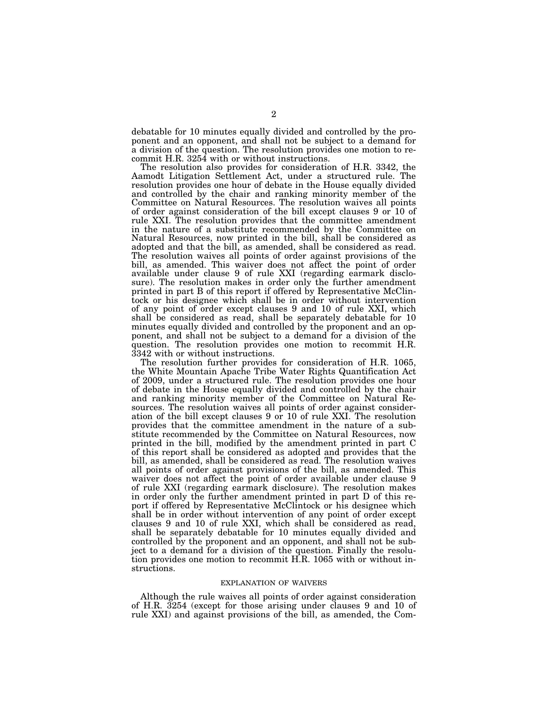debatable for 10 minutes equally divided and controlled by the proponent and an opponent, and shall not be subject to a demand for a division of the question. The resolution provides one motion to recommit H.R. 3254 with or without instructions.

The resolution also provides for consideration of H.R. 3342, the Aamodt Litigation Settlement Act, under a structured rule. The resolution provides one hour of debate in the House equally divided and controlled by the chair and ranking minority member of the Committee on Natural Resources. The resolution waives all points of order against consideration of the bill except clauses 9 or 10 of rule XXI. The resolution provides that the committee amendment in the nature of a substitute recommended by the Committee on Natural Resources, now printed in the bill, shall be considered as adopted and that the bill, as amended, shall be considered as read. The resolution waives all points of order against provisions of the bill, as amended. This waiver does not affect the point of order available under clause 9 of rule XXI (regarding earmark disclosure). The resolution makes in order only the further amendment printed in part B of this report if offered by Representative McClintock or his designee which shall be in order without intervention of any point of order except clauses 9 and 10 of rule XXI, which shall be considered as read, shall be separately debatable for 10 minutes equally divided and controlled by the proponent and an opponent, and shall not be subject to a demand for a division of the question. The resolution provides one motion to recommit H.R. 3342 with or without instructions.

The resolution further provides for consideration of H.R. 1065, the White Mountain Apache Tribe Water Rights Quantification Act of 2009, under a structured rule. The resolution provides one hour of debate in the House equally divided and controlled by the chair and ranking minority member of the Committee on Natural Resources. The resolution waives all points of order against consideration of the bill except clauses 9 or 10 of rule XXI. The resolution provides that the committee amendment in the nature of a substitute recommended by the Committee on Natural Resources, now printed in the bill, modified by the amendment printed in part C of this report shall be considered as adopted and provides that the bill, as amended, shall be considered as read. The resolution waives all points of order against provisions of the bill, as amended. This waiver does not affect the point of order available under clause 9 of rule XXI (regarding earmark disclosure). The resolution makes in order only the further amendment printed in part D of this report if offered by Representative McClintock or his designee which shall be in order without intervention of any point of order except clauses 9 and 10 of rule XXI, which shall be considered as read, shall be separately debatable for 10 minutes equally divided and controlled by the proponent and an opponent, and shall not be subject to a demand for a division of the question. Finally the resolution provides one motion to recommit H.R. 1065 with or without instructions.

#### EXPLANATION OF WAIVERS

Although the rule waives all points of order against consideration of H.R. 3254 (except for those arising under clauses 9 and 10 of rule XXI) and against provisions of the bill, as amended, the Com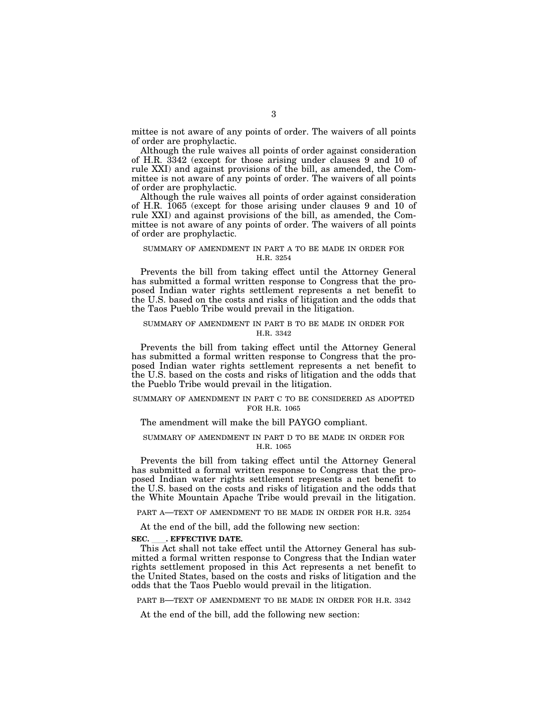mittee is not aware of any points of order. The waivers of all points of order are prophylactic.

Although the rule waives all points of order against consideration of H.R. 3342 (except for those arising under clauses 9 and 10 of rule XXI) and against provisions of the bill, as amended, the Committee is not aware of any points of order. The waivers of all points of order are prophylactic.

Although the rule waives all points of order against consideration of H.R. 1065 (except for those arising under clauses 9 and 10 of rule XXI) and against provisions of the bill, as amended, the Committee is not aware of any points of order. The waivers of all points of order are prophylactic.

### SUMMARY OF AMENDMENT IN PART A TO BE MADE IN ORDER FOR H.R. 3254

Prevents the bill from taking effect until the Attorney General has submitted a formal written response to Congress that the proposed Indian water rights settlement represents a net benefit to the U.S. based on the costs and risks of litigation and the odds that the Taos Pueblo Tribe would prevail in the litigation.

#### SUMMARY OF AMENDMENT IN PART B TO BE MADE IN ORDER FOR H.R. 3342

Prevents the bill from taking effect until the Attorney General has submitted a formal written response to Congress that the proposed Indian water rights settlement represents a net benefit to the U.S. based on the costs and risks of litigation and the odds that the Pueblo Tribe would prevail in the litigation.

## SUMMARY OF AMENDMENT IN PART C TO BE CONSIDERED AS ADOPTED FOR H.R. 1065

## The amendment will make the bill PAYGO compliant.

## SUMMARY OF AMENDMENT IN PART D TO BE MADE IN ORDER FOR H.R. 1065

Prevents the bill from taking effect until the Attorney General has submitted a formal written response to Congress that the proposed Indian water rights settlement represents a net benefit to the U.S. based on the costs and risks of litigation and the odds that the White Mountain Apache Tribe would prevail in the litigation.

PART A—TEXT OF AMENDMENT TO BE MADE IN ORDER FOR H.R. 3254

At the end of the bill, add the following new section:

**SEC. \_\_\_. EFFECTIVE DATE.**<br>This Act shall not take effect until the Attorney General has submitted a formal written response to Congress that the Indian water rights settlement proposed in this Act represents a net benefit to the United States, based on the costs and risks of litigation and the odds that the Taos Pueblo would prevail in the litigation.

PART B—TEXT OF AMENDMENT TO BE MADE IN ORDER FOR H.R. 3342

At the end of the bill, add the following new section: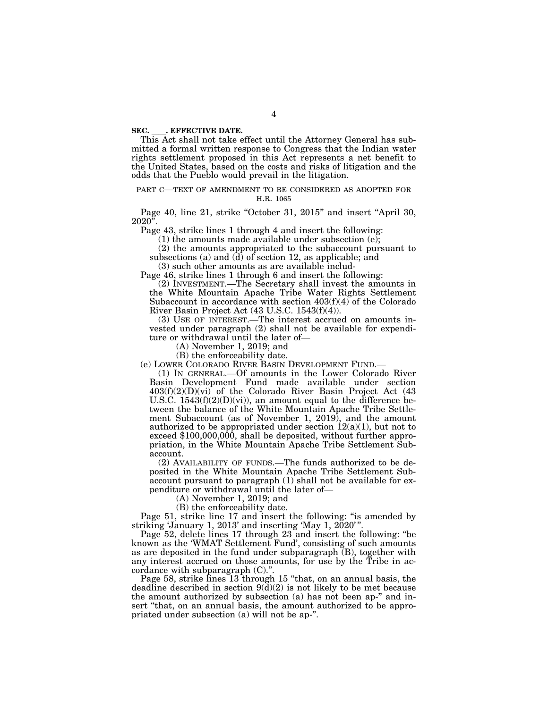**SEC. \_\_\_. EFFECTIVE DATE.**<br> This Act shall not take effect until the Attorney General has submitted a formal written response to Congress that the Indian water rights settlement proposed in this Act represents a net benefit to the United States, based on the costs and risks of litigation and the odds that the Pueblo would prevail in the litigation.

#### PART C—TEXT OF AMENDMENT TO BE CONSIDERED AS ADOPTED FOR H.R. 1065

Page 40, line 21, strike "October 31, 2015" and insert "April 30,  $2020$ ".

Page 43, strike lines 1 through 4 and insert the following:

(1) the amounts made available under subsection (e);

(2) the amounts appropriated to the subaccount pursuant to subsections (a) and  $\overline{d}$  of section 12, as applicable; and

(3) such other amounts as are available includ-

Page 46, strike lines 1 through 6 and insert the following:

(2) INVESTMENT.—The Secretary shall invest the amounts in the White Mountain Apache Tribe Water Rights Settlement Subaccount in accordance with section 403(f)(4) of the Colorado River Basin Project Act (43 U.S.C. 1543(f)(4)).

(3) USE OF INTEREST.—The interest accrued on amounts invested under paragraph (2) shall not be available for expenditure or withdrawal until the later of—

(A) November 1, 2019; and

(B) the enforceability date.

(e) LOWER COLORADO RIVER BASIN DEVELOPMENT FUND.—

(1) IN GENERAL.—Of amounts in the Lower Colorado River Basin Development Fund made available under section 403(f)(2)(D)(vi) of the Colorado River Basin Project Act (43 U.S.C.  $1543(f)(2)(D)(vi)$ , an amount equal to the difference between the balance of the White Mountain Apache Tribe Settlement Subaccount (as of November 1, 2019), and the amount authorized to be appropriated under section  $12(a)(1)$ , but not to exceed \$100,000,000, shall be deposited, without further appropriation, in the White Mountain Apache Tribe Settlement Subaccount.

(2) AVAILABILITY OF FUNDS.—The funds authorized to be deposited in the White Mountain Apache Tribe Settlement Subaccount pursuant to paragraph (1) shall not be available for expenditure or withdrawal until the later of—

(A) November 1, 2019; and

(B) the enforceability date.

Page 51, strike line 17 and insert the following: "is amended by striking 'January 1, 2013' and inserting 'May 1,  $2020$ '".

Page 52, delete lines 17 through 23 and insert the following: ''be known as the 'WMAT Settlement Fund', consisting of such amounts as are deposited in the fund under subparagraph (B), together with any interest accrued on those amounts, for use by the Tribe in accordance with subparagraph (C)."

Page 58, strike lines 13 through 15 "that, on an annual basis, the deadline described in section  $9\left(\frac{d}{2}\right)$  is not likely to be met because the amount authorized by subsection (a) has not been ap-'' and insert ''that, on an annual basis, the amount authorized to be appropriated under subsection (a) will not be ap-''.